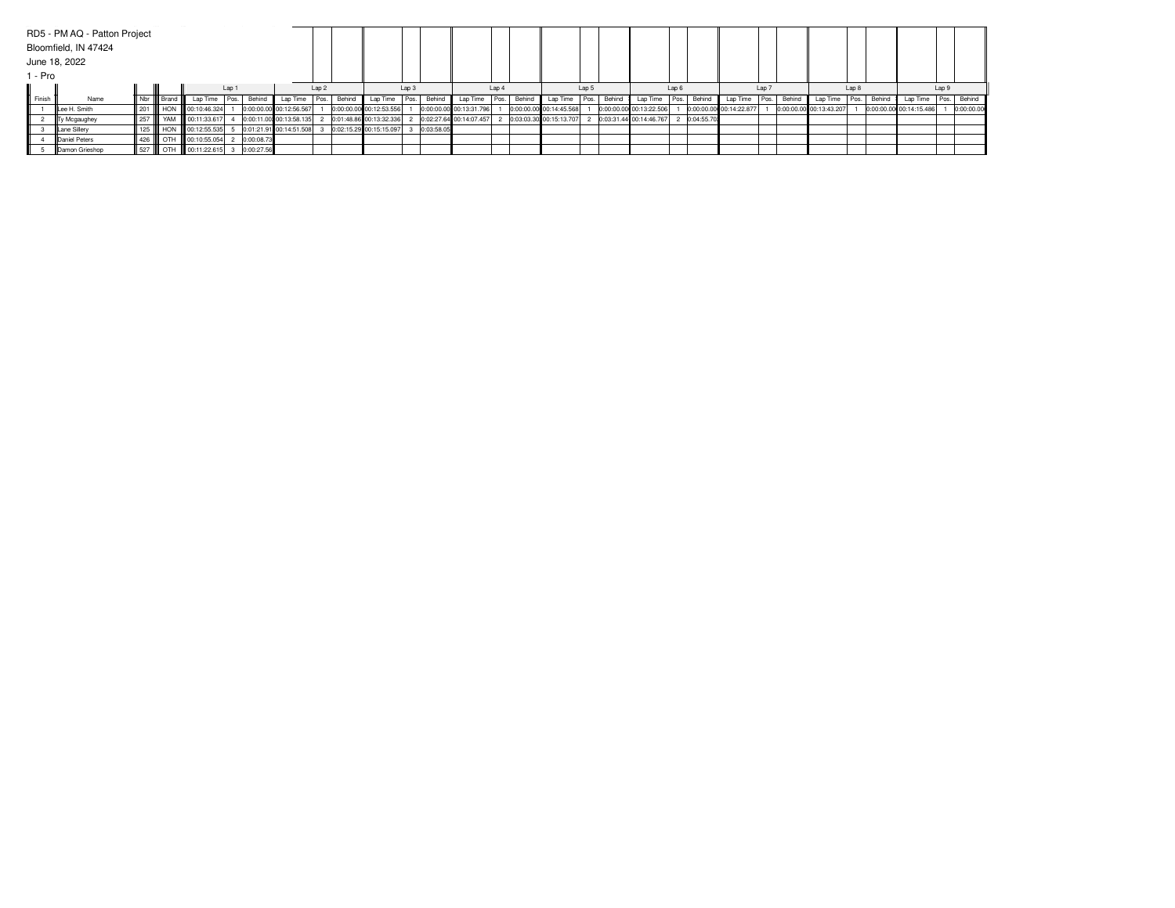| 1 - Pro | RD5 - PM AQ - Patton Project<br>Bloomfield, IN 47424<br>June 18, 2022 |                         |  |                          |                  |                         |          |       |        |                         |       |            |                         |       |        |                         |       |             |                         |       |            |                         |       |             |                         |       |        |                         |  |             |
|---------|-----------------------------------------------------------------------|-------------------------|--|--------------------------|------------------|-------------------------|----------|-------|--------|-------------------------|-------|------------|-------------------------|-------|--------|-------------------------|-------|-------------|-------------------------|-------|------------|-------------------------|-------|-------------|-------------------------|-------|--------|-------------------------|--|-------------|
|         |                                                                       | Lap 1                   |  |                          | Lap <sub>2</sub> |                         |          | Lap 3 |        |                         | Lap 4 |            |                         | Lap 5 |        |                         | Lap 6 |             |                         | Lap 7 |            |                         | Lap 8 |             |                         | Lap 9 |        |                         |  |             |
| Finish  | Name                                                                  | III Nbr IIIII Brand III |  | Lap Time                 | Pos.             | Behind                  | Lap Time | Pos.  | Behind | Lap Time                | Pos.  | Behind     | Lap Time                | Pos.  | Behind | Lap Time                |       | Pos. Behind | Lap Time                | Pos.  | Behind     | Lap Time                |       | Pos. Behind | Lap Time                | Pos.  | Behind | Lap Time                |  | Pos. Behind |
|         | Lee H. Smith                                                          |                         |  | 201 HON 00:10:46.324     |                  | 0:00:00.00 00:12:56.567 |          |       |        | 0:00:00.00 00:12:53.556 |       |            | 0:00:00.00 00:13:31.796 |       |        | 0:00:00.00 00:14:45.568 |       |             | 0:00:00.00 00:13:22.506 |       |            | 0:00:00.00 00:14:22.877 |       |             | 0:00:00.00 00:13:43.207 |       |        | 0:00:00.00 00:14:15.486 |  | 0:00:00.00  |
|         | Ty Mcgaughey                                                          |                         |  | 257   YAM   00:11:33.617 |                  | 0:00:11.00 00:13:58.135 |          |       |        | 0:01:48.86 00:13:32.336 |       |            | 0:02:27.64 00:14:07.457 |       |        | 0:03:03.30 00:15:13.707 |       |             | 0:03:31.44 00:14:46.767 |       | 0:04:55.70 |                         |       |             |                         |       |        |                         |  |             |
|         | Lane Sillery                                                          |                         |  | 125 HON 00:12:55.535     |                  | 0:01:21.91 00:14:51.508 |          |       |        | 0:02:15.29 00:15:15.097 |       | 0:03:58.05 |                         |       |        |                         |       |             |                         |       |            |                         |       |             |                         |       |        |                         |  |             |
|         | Daniel Peters                                                         |                         |  | 426   OTH   00:10:55.054 |                  | 0:00:08.73              |          |       |        |                         |       |            |                         |       |        |                         |       |             |                         |       |            |                         |       |             |                         |       |        |                         |  |             |
|         | <b>IDamon Grieshop</b>                                                |                         |  | 527   OTH   00:11:22.615 |                  | 3 0:00:27.56            |          |       |        |                         |       |            |                         |       |        |                         |       |             |                         |       |            |                         |       |             |                         |       |        |                         |  |             |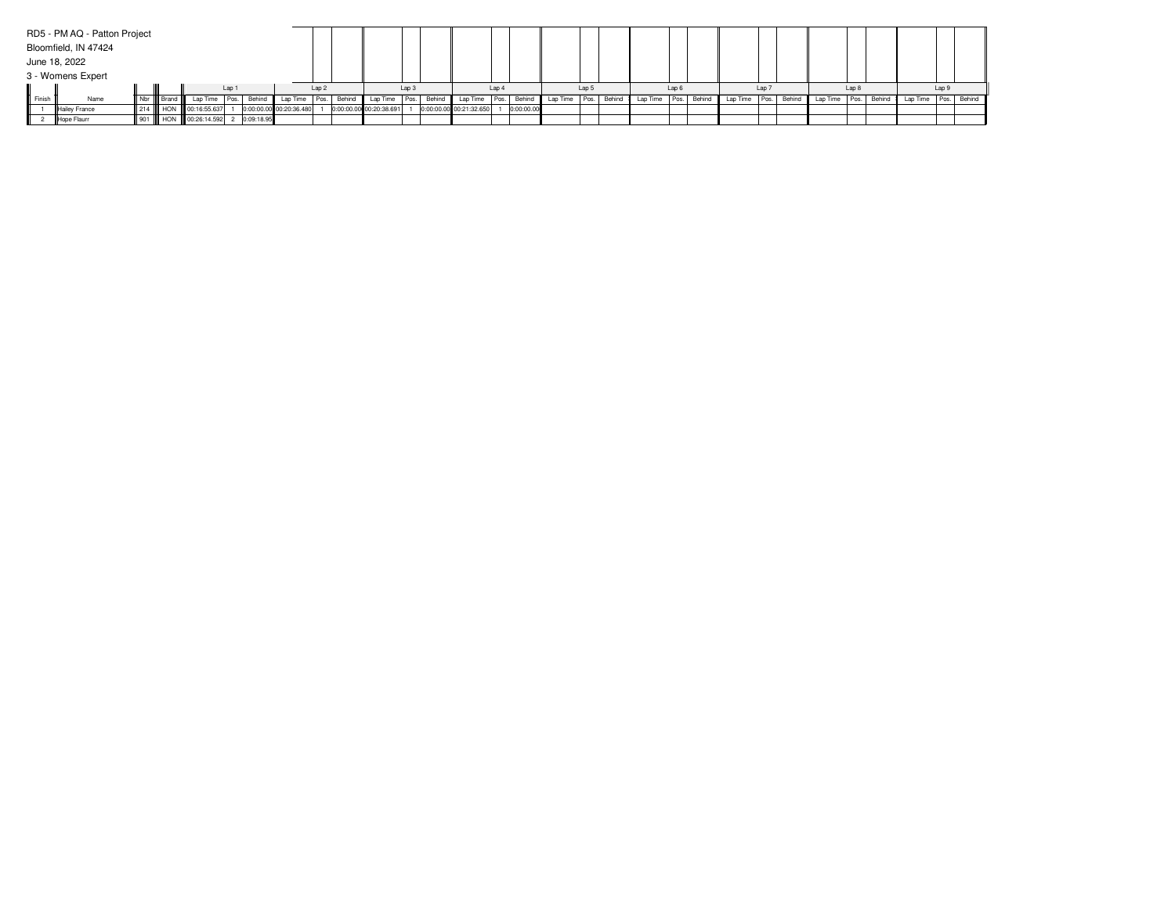|        | RD5 - PM AQ - Patton Project |        |       |                      |  |              |                         |                  |        |                         |                  |                         |       |            |          |       |        |               |       |        |                      |                  |          |       |        |                        |       |  |
|--------|------------------------------|--------|-------|----------------------|--|--------------|-------------------------|------------------|--------|-------------------------|------------------|-------------------------|-------|------------|----------|-------|--------|---------------|-------|--------|----------------------|------------------|----------|-------|--------|------------------------|-------|--|
|        | Bloomfield, IN 47424         |        |       |                      |  |              |                         |                  |        |                         |                  |                         |       |            |          |       |        |               |       |        |                      |                  |          |       |        |                        |       |  |
|        | June 18, 2022                |        |       |                      |  |              |                         |                  |        |                         |                  |                         |       |            |          |       |        |               |       |        |                      |                  |          |       |        |                        |       |  |
|        | 3 - Womens Expert            |        |       |                      |  |              |                         |                  |        |                         |                  |                         |       |            |          |       |        |               |       |        |                      |                  |          |       |        |                        |       |  |
| Lap 1  |                              |        |       |                      |  |              |                         | Lap <sub>2</sub> |        |                         | Lap <sub>3</sub> |                         | Lap 4 |            |          | Lap 5 |        |               | Lap 6 |        |                      | Lap <sub>7</sub> |          | Lap 8 |        |                        | Lap 9 |  |
| Finish | Name                         | Nbr II | Brand | Lap Time Pos.        |  | Behind       | Lap Time                | Pos.             | Behind | Lap Time Pos.           | Behind           | Lap Time Pos. Behind    |       |            | Lap Time | Pos.  | Behind | Lap Time Pos. |       | Behind | Lap Time Pos. Behind |                  | Lap Time | Pos.  | Behind | Lap Time   Pos. Behind |       |  |
|        | Hailey France                |        |       | 214 HON 00:16:55.637 |  |              | 0:00:00.00 00:20:36.480 |                  |        | 0:00:00.00 00:20:38.691 |                  | 0:00:00.00 00:21:32.650 |       | 0:00:00.00 |          |       |        |               |       |        |                      |                  |          |       |        |                        |       |  |
|        | Hope Flaurr                  |        |       | 901 HON 00:26:14.592 |  | 2 0:09:18.95 |                         |                  |        |                         |                  |                         |       |            |          |       |        |               |       |        |                      |                  |          |       |        |                        |       |  |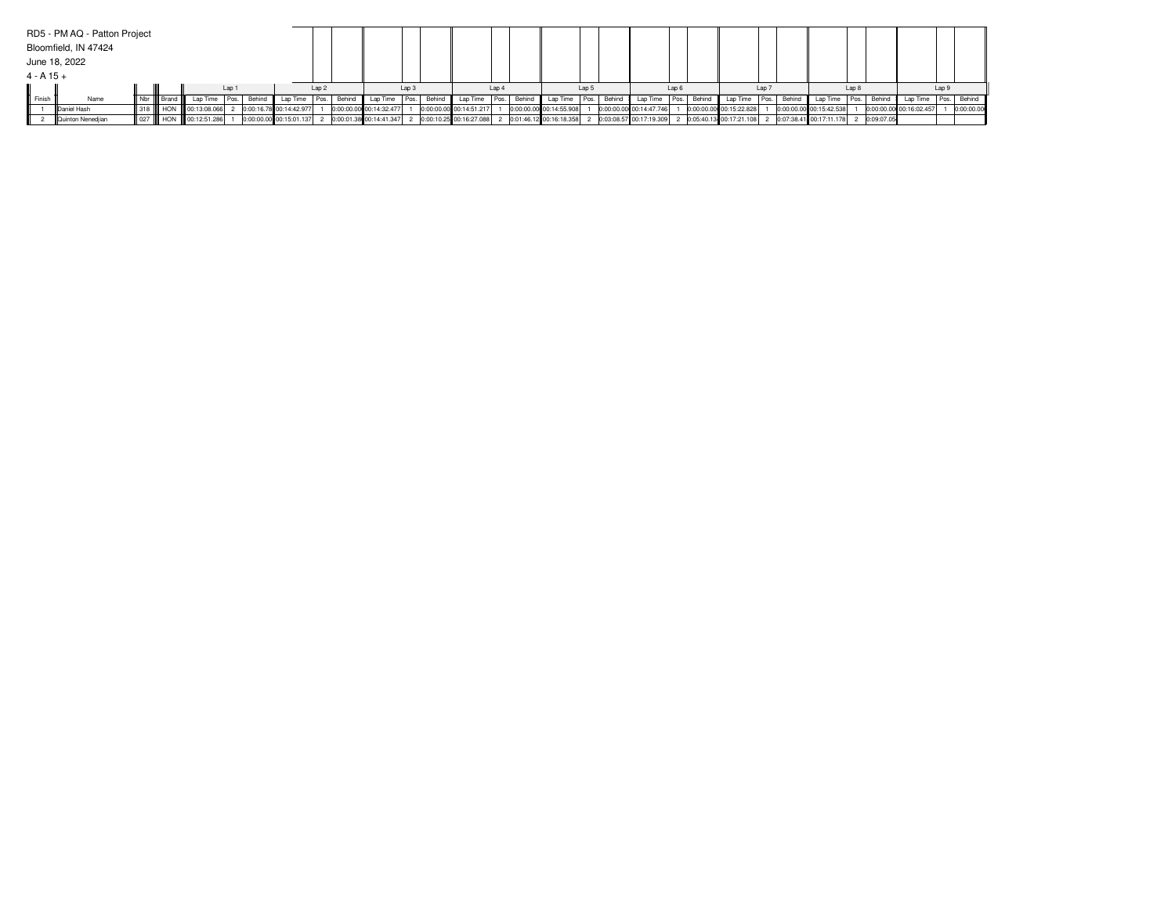|        | RD5 - PM AQ - Patton Project |  |                       |  |                      |  |                          |                         |  |                                           |                  |                                                                               |       |                         |       |                           |                                                                  |     |                                            |       |        |                         |       |             |
|--------|------------------------------|--|-----------------------|--|----------------------|--|--------------------------|-------------------------|--|-------------------------------------------|------------------|-------------------------------------------------------------------------------|-------|-------------------------|-------|---------------------------|------------------------------------------------------------------|-----|--------------------------------------------|-------|--------|-------------------------|-------|-------------|
|        | Bloomfield, IN 47424         |  |                       |  |                      |  |                          |                         |  |                                           |                  |                                                                               |       |                         |       |                           |                                                                  |     |                                            |       |        |                         |       |             |
|        | June 18, 2022                |  |                       |  |                      |  |                          |                         |  |                                           |                  |                                                                               |       |                         |       |                           |                                                                  |     |                                            |       |        |                         |       |             |
|        | $4 - A 15 +$                 |  |                       |  |                      |  |                          |                         |  |                                           |                  |                                                                               |       |                         |       |                           |                                                                  |     |                                            |       |        |                         |       |             |
|        | Lap 1                        |  |                       |  |                      |  |                          |                         |  |                                           | Lap <sub>3</sub> |                                                                               | Lap 4 |                         | Lap 5 | Lap 6                     |                                                                  | Lap |                                            | Lap 8 |        |                         | Lap 9 |             |
| Finish | Name                         |  | II Nbr IIII Brand III |  |                      |  | Lap Time   Pos.   Behind |                         |  | Lap Time Pos. Behind Lap Time Pos. Behind |                  | Lap Time Pos. Behind Lap Time Pos. Behind                                     |       |                         |       | Lap Time   Pos.   Behind  |                                                                  |     | Lap Time   Pos.   Behind   Lap Time   Pos. |       | Behind | Lap Time                |       | Pos. Behind |
|        | <b>IDaniel Hash</b>          |  |                       |  | 318 HON 00:13:08.066 |  |                          | 0:00:16.78 00:14:42.977 |  | 0:00:00.00 00:14:32.477                   |                  | 0:00:00.00 00:14:51.217                                                       |       | 0:00:00.00 00:14:55.908 |       | 0:00:00.00 00:14:47.746   | 0:00:00.00 00:15:22.828                                          |     | 0:00:00.00 00:15:42.538                    |       |        | 0:00:00.00 00:16:02.457 |       | 0:00:00.00  |
|        | Quinton Nenedjian            |  |                       |  | 027 HON 00:12:51.286 |  |                          | 0:00:00.00 00:15:01.137 |  |                                           |                  | 2 0:00:01.38 00:14:41.347 2 0:00:10.25 00:16:27.088 2 0:01:46.12 00:16:18.358 |       |                         |       | 2 0:03:08.57 00:17:19.309 | 2 0:05:40.13 00:17:21.108 2 0:07:38.41 00:17:11.178 2 0:09:07:05 |     |                                            |       |        |                         |       |             |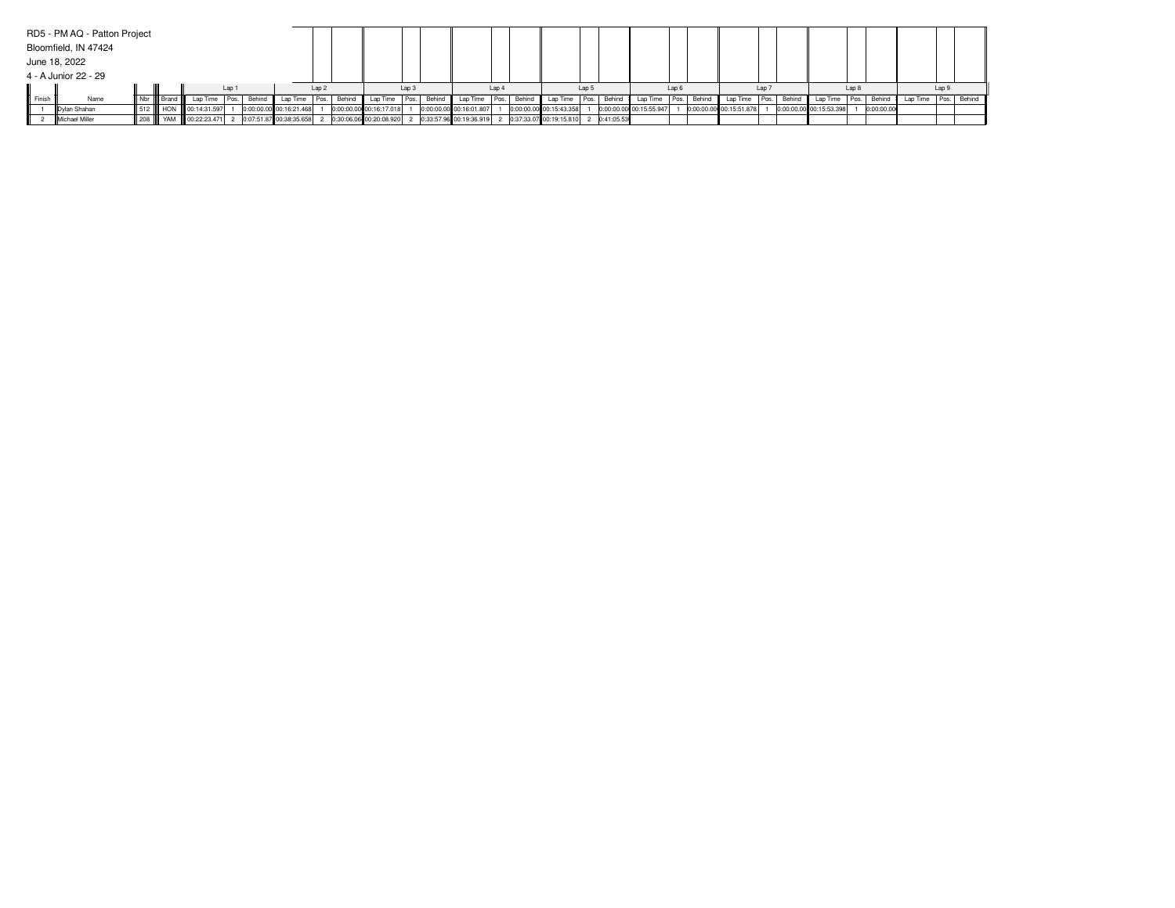|        | RD5 - PM AQ - Patton Project |                |                        |       |             |                           |                  |        |                         |                  |        |                                                     |                  |        |                         |       |              |                         |       |                         |      |                         |       |            |                          |       |  |
|--------|------------------------------|----------------|------------------------|-------|-------------|---------------------------|------------------|--------|-------------------------|------------------|--------|-----------------------------------------------------|------------------|--------|-------------------------|-------|--------------|-------------------------|-------|-------------------------|------|-------------------------|-------|------------|--------------------------|-------|--|
|        | Bloomfield, IN 47424         |                |                        |       |             |                           |                  |        |                         |                  |        |                                                     |                  |        |                         |       |              |                         |       |                         |      |                         |       |            |                          |       |  |
|        | June 18, 2022                |                |                        |       |             |                           |                  |        |                         |                  |        |                                                     |                  |        |                         |       |              |                         |       |                         |      |                         |       |            |                          |       |  |
|        | 4 - A Junior 22 - 29         |                |                        |       |             |                           |                  |        |                         |                  |        |                                                     |                  |        |                         |       |              |                         |       |                         |      |                         |       |            |                          |       |  |
|        |                              |                |                        | Lap 1 |             |                           | Lap <sub>2</sub> |        |                         | Lap <sub>3</sub> |        |                                                     | Lap <sub>4</sub> |        |                         | Lap 5 |              |                         | Lap 6 |                         | Lap  |                         | Lap 8 |            |                          | Lap 9 |  |
| Finish | Name                         | Nbr      Brand | Lap Time               |       | Pos. Behind | Lap Time                  | Pos.             | Behind | Lap Time                | Pos.             | Behind | Lap Time Pos.                                       |                  | Behind | Lap Time Pos.           |       | Behind       | Lap Time Pos. Behind    |       | Lap Time                | Pos. | Behind Lap Time         | Pos.  | Behind     | Lap Time   Pos.   Behind |       |  |
|        | Dylan Shahan                 |                | 512 HON 00:14:31.597   |       |             | 0:00:00.00 00:16:21.468   |                  |        | 0:00:00.00 00:16:17.018 |                  |        | 0:00:00.00 00:16:01.807                             |                  |        | 0:00:00.00 00:15:43.358 |       |              | 0:00:00.00 00:15:55.947 |       | 0:00:00.00 00:15:51.878 |      | 0:00:00.00 00:15:53.398 |       | 0:00:00.00 |                          |       |  |
|        | <b>IMichael Miller</b>       |                | 208 W YAM 00:22:23.471 |       |             | 2 0:07:51.87 00:38:35.658 |                  |        | 0:30:06.06 00:20:08.920 |                  |        | 2 0:33:57.96 00:19:36.919 2 0:37:33.07 00:19:15.810 |                  |        |                         |       | 2 0:41:05.53 |                         |       |                         |      |                         |       |            |                          |       |  |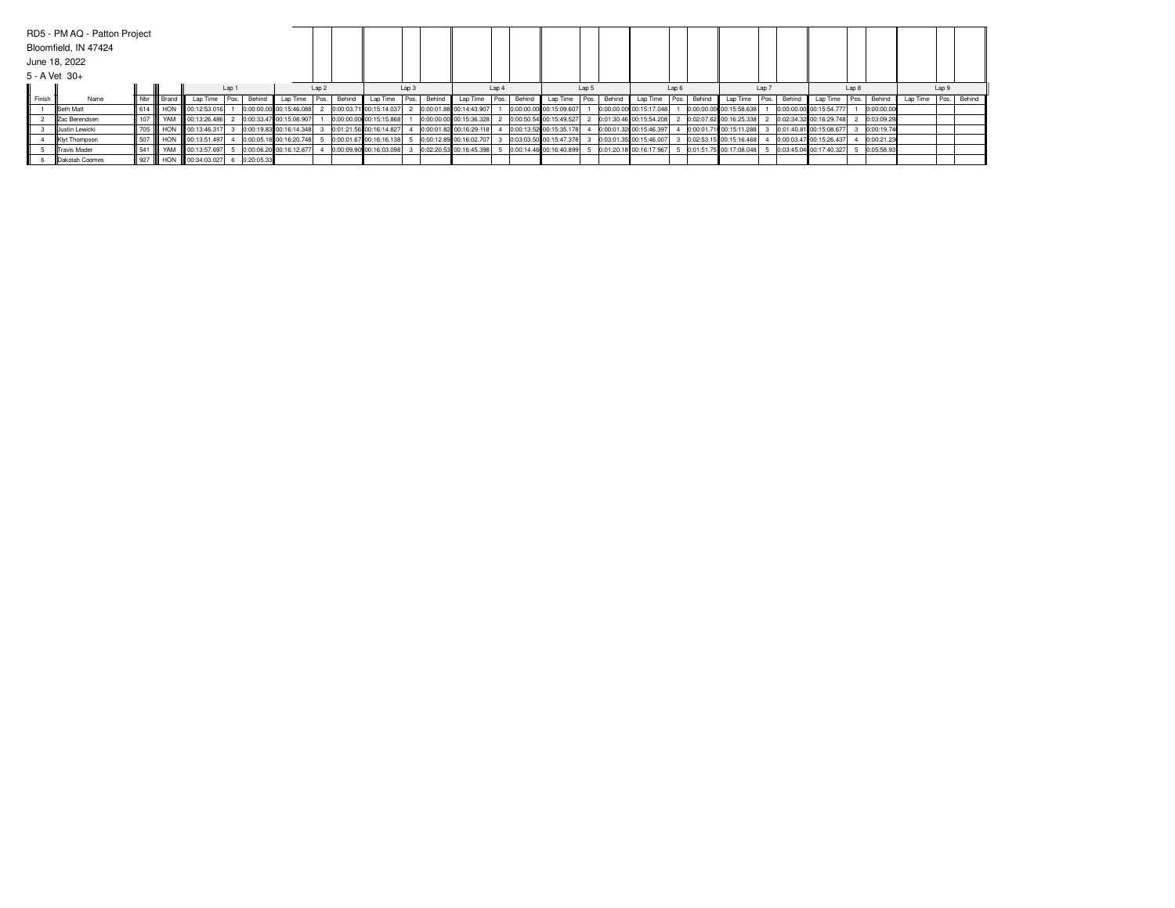|        | RD5 - PM AQ - Patton Project<br>Bloomfield, IN 47424 |     |              |                                                    |       |                          |                         |                  |        |                          |                  |                          |       |                         |       |        |                         |                  |               |                          |       |                         |       |            |          |       |             |
|--------|------------------------------------------------------|-----|--------------|----------------------------------------------------|-------|--------------------------|-------------------------|------------------|--------|--------------------------|------------------|--------------------------|-------|-------------------------|-------|--------|-------------------------|------------------|---------------|--------------------------|-------|-------------------------|-------|------------|----------|-------|-------------|
|        | June 18, 2022<br>5 - A Vet 30+                       |     |              |                                                    |       |                          |                         |                  |        |                          |                  |                          |       |                         |       |        |                         |                  |               |                          |       |                         |       |            |          |       |             |
|        |                                                      |     |              |                                                    | Lap 1 |                          |                         | Lap <sub>2</sub> |        |                          | Lap <sub>3</sub> |                          | Lap 4 |                         | Lap 5 |        |                         | Lap <sub>6</sub> |               |                          | Lap 7 |                         | Lap 8 |            |          | Lap 9 |             |
| Finish | Name                                                 |     | Nbr    Brand |                                                    |       | Lap Time   Pos.   Behind | Lap Time                | Pos.             | Behind | Lap Time   Pos.   Behind |                  | Lap Time   Pos.   Behind |       | Lap Time                | Pos.  | Behind | Lap Time Pos.           |                  | <b>Behind</b> | Lap Time   Pos.   Behind |       | Lap Time                | Pos.  | Behind     | Lap Time |       | Pos. Behind |
|        | <b>ISeth Matt</b>                                    | 614 | <b>HON</b>   | 00:12:53.016                                       |       |                          | 0:00:00.00 00:15:46.088 |                  |        | 0:00:03.71 00:15:14.037  |                  | 0:00:01.88 00:14:43.907  |       | 0:00:00.00 00:15:09.607 |       |        | 0:00:00.00 00:15:17.048 |                  |               | 0:00:00.00 00:15:58.638  |       | 0:00:00.00 00:15:54.777 |       | 0:00:00.00 |          |       |             |
|        | Zac Berendsen                                        | 107 |              | YAM 60:13:26.486                                   |       |                          | 0:00:33.47 00:15:08.907 |                  |        | 0:00:00.00 00:15:15.868  |                  | 0:00:00.00 00:15:36.328  |       | 0:00:50.54 00:15:49.527 |       |        | 0:01:30.46 00:15:54.208 |                  |               | 0:02:07.62 00:16:25.338  |       | 0:02:34.32 00:16:29.748 |       | 0:03:09.29 |          |       |             |
|        | <b>IIJustin Lewicki</b>                              |     |              | 705 III HON III 00:13:46.317                       |       |                          | 0:00:19.83 00:16:14.348 |                  |        | 0:01:21.56 00:16:14.827  |                  | 0:00:01.82 00:16:29.118  |       | 0:00:13.52 00:15:35.178 |       |        | 0:00:01.32 00:15:46.397 |                  |               | 0:00:01.71 00:15:11.288  |       | 0:01:40.81 00:15:08.677 |       | 0:00:19.74 |          |       |             |
|        | Klyt Thompson                                        | 507 |              | HON 100:13:51.497                                  |       |                          | 0:00:05.18 00:16:20.748 |                  |        | 0:00:01.67 00:16:16.138  |                  | 0:00:12.89 00:16:02.707  |       | 0:03:03.50 00:15:47.378 |       |        | 0:03:01.35 00:15:46.007 |                  |               | 0:02:53.15 00:15:16.468  |       | 0:00:03.47 00:15:26.437 |       | 0:00:21.23 |          |       |             |
|        | <b>Travis Mader</b>                                  | 541 |              | YAM 00:13:57.697                                   |       |                          | 0:00:06.20 00:16:12.877 |                  |        | 0:00:09.90 00:16:03.098  |                  | 0:02:20.53 00:16:45.398  |       | 0:00:14.46 00:16:40.899 |       |        | 0:01:20.18 00:16:17.967 |                  |               | 0:01:51.75 00:17:08.048  |       | 0:03:45.04 00:17:40.327 |       | 0:05:58.93 |          |       |             |
|        | <b>IDakotah Coomes</b>                               |     |              | 927       HON      00:34:03.027    6    0:20:05.33 |       |                          |                         |                  |        |                          |                  |                          |       |                         |       |        |                         |                  |               |                          |       |                         |       |            |          |       |             |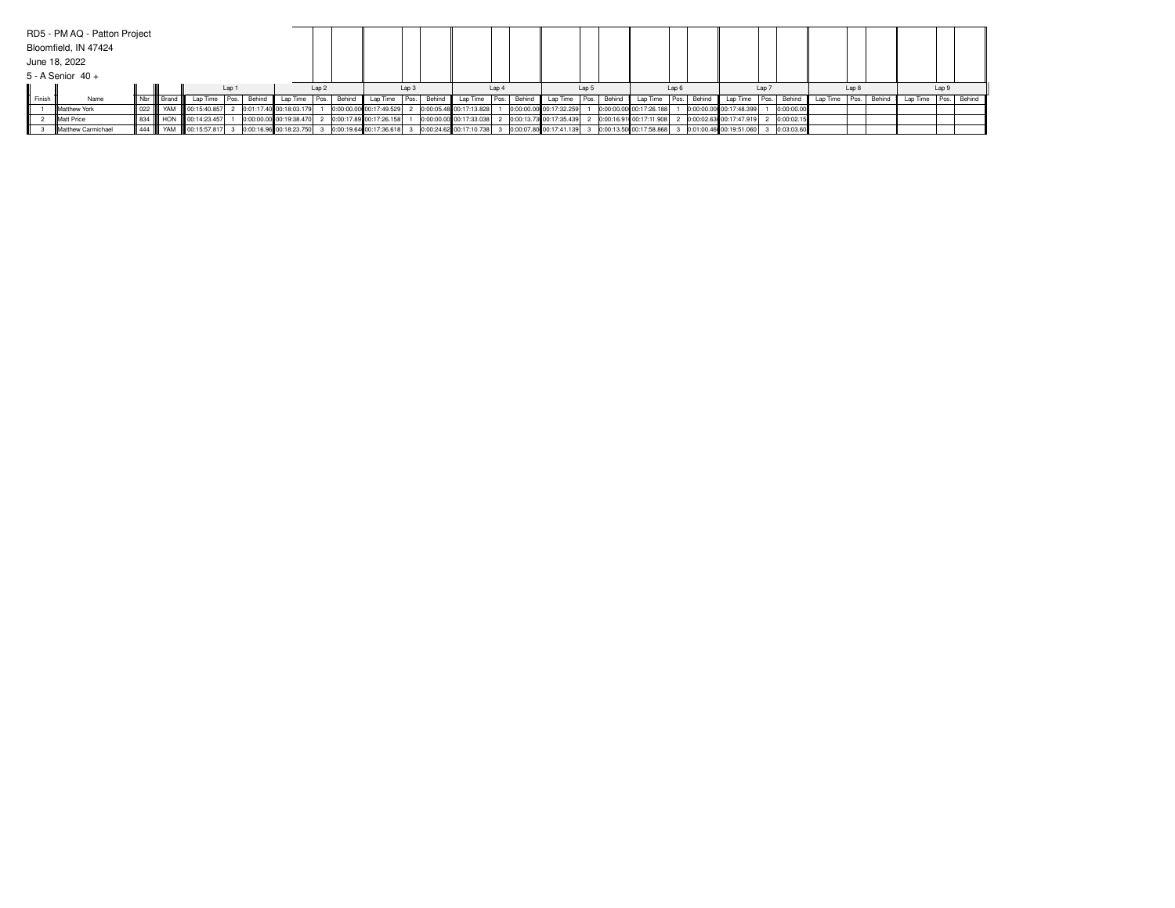|                              | RD5 - PM AQ - Patton Project |     |                   |                                                                                                                          |  |                         |                  |                          |                                                   |                  |                                           |       |                         |       |        |                         |       |                                                                               |       |              |          |       |        |                        |       |  |
|------------------------------|------------------------------|-----|-------------------|--------------------------------------------------------------------------------------------------------------------------|--|-------------------------|------------------|--------------------------|---------------------------------------------------|------------------|-------------------------------------------|-------|-------------------------|-------|--------|-------------------------|-------|-------------------------------------------------------------------------------|-------|--------------|----------|-------|--------|------------------------|-------|--|
|                              | Bloomfield, IN 47424         |     |                   |                                                                                                                          |  |                         |                  |                          |                                                   |                  |                                           |       |                         |       |        |                         |       |                                                                               |       |              |          |       |        |                        |       |  |
|                              | June 18, 2022                |     |                   |                                                                                                                          |  |                         |                  |                          |                                                   |                  |                                           |       |                         |       |        |                         |       |                                                                               |       |              |          |       |        |                        |       |  |
|                              |                              |     |                   |                                                                                                                          |  |                         |                  |                          |                                                   |                  |                                           |       |                         |       |        |                         |       |                                                                               |       |              |          |       |        |                        |       |  |
| $5 - A$ Senior 40 +<br>Lap 1 |                              |     |                   |                                                                                                                          |  |                         | Lap <sub>2</sub> |                          |                                                   | Lap <sub>3</sub> |                                           | Lap 4 |                         | Lap 5 |        |                         | Lap 6 |                                                                               | Lap 7 |              |          | Lap 8 |        |                        | Lap 9 |  |
| Finish                       | Name                         |     | Nbr III Brand III | Lap Time   Pos.   Behind                                                                                                 |  |                         |                  | Lap Time   Pos.   Behind |                                                   |                  | Lap Time Pos. Behind Lap Time Pos. Behind |       | Lap Time Pos.           |       | Behind |                         |       | Lap Time Pos. Behind Lap Time Pos. Behind                                     |       |              | Lap Time | Pos.  | Behind | Lap Time   Pos. Behind |       |  |
|                              | <b>IMatthew York</b>         | 022 |                   | YAM 00:15:40.857                                                                                                         |  | 0:01:17.40 00:18:03.179 |                  |                          | 0:00:00.00 00:17:49.529                           |                  | 2 0:00:05.48 00:17:13.828                 |       | 0:00:00.00 00:17:32.259 |       |        | 0:00:00.00 00:17:26.188 |       | 0:00:00.00 00:17:48.399                                                       |       | 0:00:00.00   |          |       |        |                        |       |  |
|                              | <b>IMatt Price</b>           |     |                   | 834    HON    00:14:23.457                                                                                               |  |                         |                  |                          | 0:00:00.00 00:19:38.470 2 0:00:17.89 00:17:26.158 |                  | 0:00:00.00 00:17:33.038                   |       |                         |       |        |                         |       | 2 0:00:13.73 00:17:35.439 2 0:00:16.91 00:17:11.908 2 0:00:02.63 00:17:47.919 |       | 2 0:00:02.15 |          |       |        |                        |       |  |
|                              | Matthew Carmichael           |     |                   | 444      YAM      00:15:57.817  3   0:00:16.96  00:18:23.750  3   0:00:19.64  00:17:36.618  3   0:00:24.62  00:17:10.738 |  |                         |                  |                          |                                                   |                  |                                           |       |                         |       |        |                         |       | 3 0:00:07.80 00:17:41.139 3 0:00:13.50 00:17:58.868 3 0:01:00.46 00:19:51.060 |       | 3 0:03:03.60 |          |       |        |                        |       |  |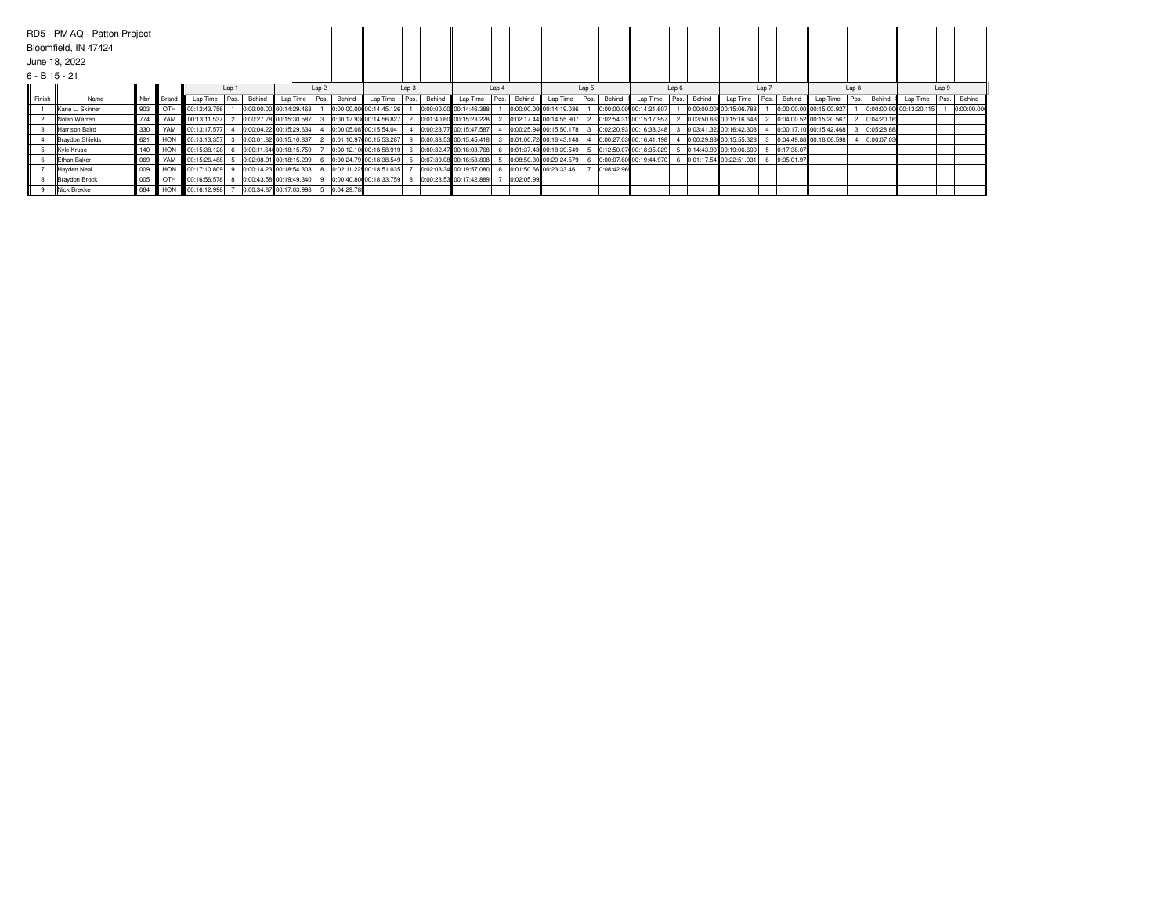|                                                                                                                            | RD5 - PM AQ - Patton Project<br>Bloomfield, IN 47424<br>June 18, 2022 |                             |                                 |                                |  |  |                         |  |             |                         |                  |        |                         |                  |            |                         |       |            |                          |      |        |                         |       |              |                         |       |            |                         |       |             |
|----------------------------------------------------------------------------------------------------------------------------|-----------------------------------------------------------------------|-----------------------------|---------------------------------|--------------------------------|--|--|-------------------------|--|-------------|-------------------------|------------------|--------|-------------------------|------------------|------------|-------------------------|-------|------------|--------------------------|------|--------|-------------------------|-------|--------------|-------------------------|-------|------------|-------------------------|-------|-------------|
| $6 - B$ 15 - 21<br>Lap <sub>2</sub><br>Lap 1<br>Finish<br>Name<br>Nbr IIII Brand<br>Lap Time<br>Pos.<br>Behind<br>Lap Time |                                                                       |                             |                                 |                                |  |  |                         |  |             |                         | Lap <sub>3</sub> |        |                         | Lap <sub>4</sub> |            |                         | Lap 5 |            |                          | Lap6 |        |                         | Lap 7 |              |                         | Lap 8 |            |                         | Lap 9 |             |
|                                                                                                                            |                                                                       |                             |                                 |                                |  |  |                         |  | Pos. Behind | Lap Time                | Pos.             | Behind | Lap Time                | Pos.             | Behind     | Lap Time                | Pos.  | Behind     | Lap Time                 | Pos. | Behind | Lap Time                | Pos.  | Behind       | Lap Time                | Pos.  | Behind     | Lap Time                |       | Pos. Behind |
|                                                                                                                            | Kane L. Skinner                                                       | $\parallel$ 903 $\parallel$ | l отн                           | $\frac{1}{2}$ 00:12:43.756     |  |  | 0:00:00.00 00:14:29.468 |  |             | 0:00:00.00 00:14:45.126 |                  |        | 0:00:00.00 00:14:46.388 |                  |            | 0:00:00.00 00:14:19.036 |       |            | 0:00:00.00 00:14:21.607  |      |        | 0:00:00.00 00:15:06.788 |       |              | 0:00:00.00 00:15:00.927 |       |            | 0:00:00.00 00:13:20.115 |       | 0:00:00.00  |
|                                                                                                                            | INolan Warren                                                         | 774                         |                                 | YAM III 00:13:11.537           |  |  | 0:00:27.78 00:15:30.587 |  |             | 0:00:17.93 00:14:56.827 |                  |        | 0:01:40.60 00:15:23.228 |                  |            | 0:02:17.44 00:14:55.907 |       |            | 0:02:54.31: 00:15:17.957 |      |        | 0:03:50.66 00:15:16.648 |       |              | 0:04:00.52 00:15:20.567 |       | 0:04:20.16 |                         |       |             |
|                                                                                                                            | Harrison Baird                                                        |                             |                                 | 330 W YAM 00:13:17.577         |  |  | 0:00:04.22 00:15:29.634 |  |             | 0:00:05.08 00:15:54.041 |                  |        | 0:00:23.77 00:15:47.587 |                  |            | 0:00:25.94 00:15:50.178 |       |            | 0:02:20.93 00:16:38.348  |      |        | 0:03:41.32 00:16:42.308 |       |              | 0:00:17.10 00:15:42.468 |       | 0:05:28.88 |                         |       |             |
|                                                                                                                            | Braydon Shields                                                       |                             |                                 | 621 HON 00:13:13.357           |  |  | 0:00:01.82 00:15:10.837 |  |             | 0:01:10.97 00:15:53.287 |                  |        | 0:00:38.53 00:15:45.418 |                  |            | 0:01:00.72 00:16:43.148 |       |            | 0:00:27.03 00:16:41.198  |      |        | 0:00:29.88 00:15:55.328 |       |              | 0:04:49.88 00:16:06.598 |       | 0:00:07.03 |                         |       |             |
|                                                                                                                            | Kyle Kruse                                                            | 140                         | <b>HON</b>                      | 00:15:38.128                   |  |  | 0:00:11.64 00:18:15.759 |  |             | 0:00:12.10 00:18:58.919 |                  |        | 0:00:32.47 00:18:03.768 |                  |            | 0:01:37.43 00:18:39.549 |       |            | 0:12:50.07 00:18:35.029  |      |        | 0:14:43.90 00:19:06.600 |       | 0:17:38.07   |                         |       |            |                         |       |             |
|                                                                                                                            | <b>IEthan Baker</b>                                                   |                             |                                 | 069     YAM     00:15:26.488   |  |  | 0:02:08.91 00:18:15.299 |  |             | 0:00:24.79 00:18:38.549 |                  |        | 0:07:39.08 00:16:58.808 |                  |            | 0:08:50.30 00:20:24.579 |       |            | 0:00:07.60 00:19:44.970  |      |        | 0:01:17.54 00:22:51.031 |       | 6 0:05:01.97 |                         |       |            |                         |       |             |
|                                                                                                                            | Hayden Neal                                                           |                             |                                 | 009     HON     00:17:10.809 9 |  |  | 0:00:14.23 00:18:54.303 |  |             | 0:02:11.22 00:18:51.035 |                  |        | 0:02:03.34 00:19:57.080 |                  |            | 0:01:50.66 00:23:33.461 |       | 0:08:42.96 |                          |      |        |                         |       |              |                         |       |            |                         |       |             |
|                                                                                                                            | Braydon Brock                                                         | $\parallel$ 005 $\parallel$ | I отн                           | 00:16:56.578                   |  |  | 0:00:43.58 00:19:49.340 |  |             | 0:00:40.80 00:18:33.759 |                  |        | 0:00:23.53 00:17:42.889 |                  | 0:02:05.99 |                         |       |            |                          |      |        |                         |       |              |                         |       |            |                         |       |             |
|                                                                                                                            | <b>INick Brekke</b>                                                   |                             | $\parallel$ 064 $\parallel$ HON | 00:16:12.998                   |  |  | 0:00:34.87 00:17:03.998 |  | 0:04:29.78  |                         |                  |        |                         |                  |            |                         |       |            |                          |      |        |                         |       |              |                         |       |            |                         |       |             |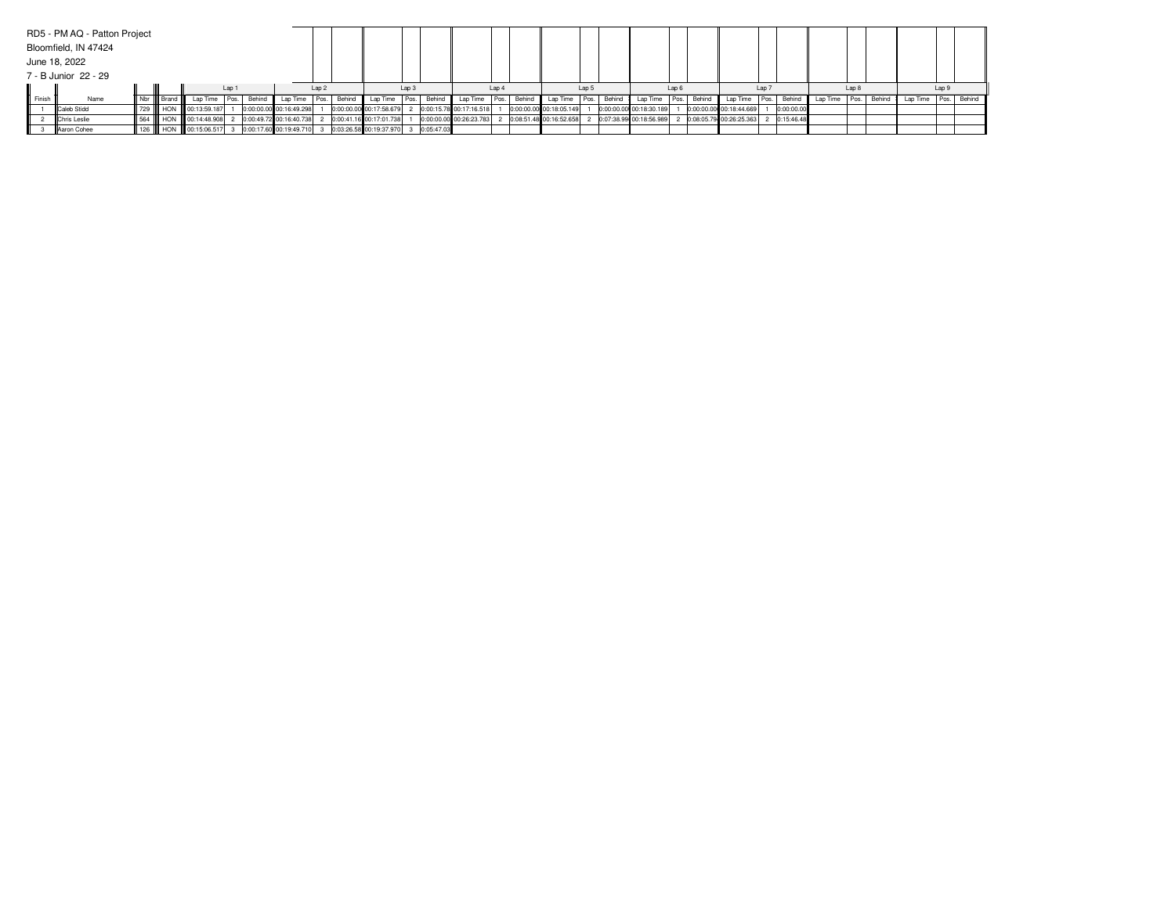|        | RD5 - PM AQ - Patton Project |     |                   |                                                                                               |  |                         |          |      |                  |                                                     |       |                                           |       |                           |  |        |                         |       |                             |  |              |          |      |        |                        |  |  |
|--------|------------------------------|-----|-------------------|-----------------------------------------------------------------------------------------------|--|-------------------------|----------|------|------------------|-----------------------------------------------------|-------|-------------------------------------------|-------|---------------------------|--|--------|-------------------------|-------|-----------------------------|--|--------------|----------|------|--------|------------------------|--|--|
|        | Bloomfield, IN 47424         |     |                   |                                                                                               |  |                         |          |      |                  |                                                     |       |                                           |       |                           |  |        |                         |       |                             |  |              |          |      |        |                        |  |  |
|        | June 18, 2022                |     |                   |                                                                                               |  |                         |          |      |                  |                                                     |       |                                           |       |                           |  |        |                         |       |                             |  |              |          |      |        |                        |  |  |
|        | 7 - B Junior 22 - 29         |     |                   |                                                                                               |  |                         |          |      |                  |                                                     |       |                                           |       |                           |  |        |                         |       |                             |  |              |          |      |        |                        |  |  |
|        |                              |     | Lap 1             |                                                                                               |  | Lap <sub>2</sub>        |          |      | Lap <sub>3</sub> |                                                     | Lap 4 |                                           | Lap 5 |                           |  | Lap 6  |                         | Lap 7 |                             |  | Lap 8        |          |      | Lap 9  |                        |  |  |
| Finish | Name                         |     | Nbr III Brand III | Lap Time Pos.                                                                                 |  | Behind                  | Lap Time | Pos. | Behind           |                                                     |       | Lap Time Pos. Behind Lap Time Pos. Behind |       | Lap Time Pos.             |  | Behind | Lap Time Pos.           |       | Behind Lap Time Pos. Behind |  |              | Lap Time | Pos. | Behind | Lap Time   Pos. Behind |  |  |
|        | Caleb Stidd                  | 729 |                   | HON 00:13:59.187                                                                              |  | 0:00:00.00 00:16:49.298 |          |      |                  | 0:00:00.00 00:17:58.679                             |       | 2 0:00:15.78 00:17:16.518                 |       | 0:00:00.00 00:18:05.149   |  |        | 0:00:00.00 00:18:30.189 |       | 0:00:00.00 00:18:44.669     |  | 0:00:00.00   |          |      |        |                        |  |  |
|        | <b>Chris Leslie</b>          |     |                   | 564    HON    00:14:48.908                                                                    |  |                         |          |      |                  | 2 0:00:49.72 00:16:40.738 2 0:00:41.16 00:17:01.738 |       | 0:00:00.00 00:26:23.783                   |       | 2 0:08:51.48 00:16:52.658 |  |        | 0:07:38.99 00:18:56.989 |       | 2 0:08:05.79 00:26:25.363   |  | 2 0:15:46.48 |          |      |        |                        |  |  |
|        | <b>IlAaron Cohee</b>         |     |                   | 126 III HON III 00:15:06.517 3 0:00:17.60 00:19:49.710 3 0:03:26.58 00:19:37.970 3 0:05:47.03 |  |                         |          |      |                  |                                                     |       |                                           |       |                           |  |        |                         |       |                             |  |              |          |      |        |                        |  |  |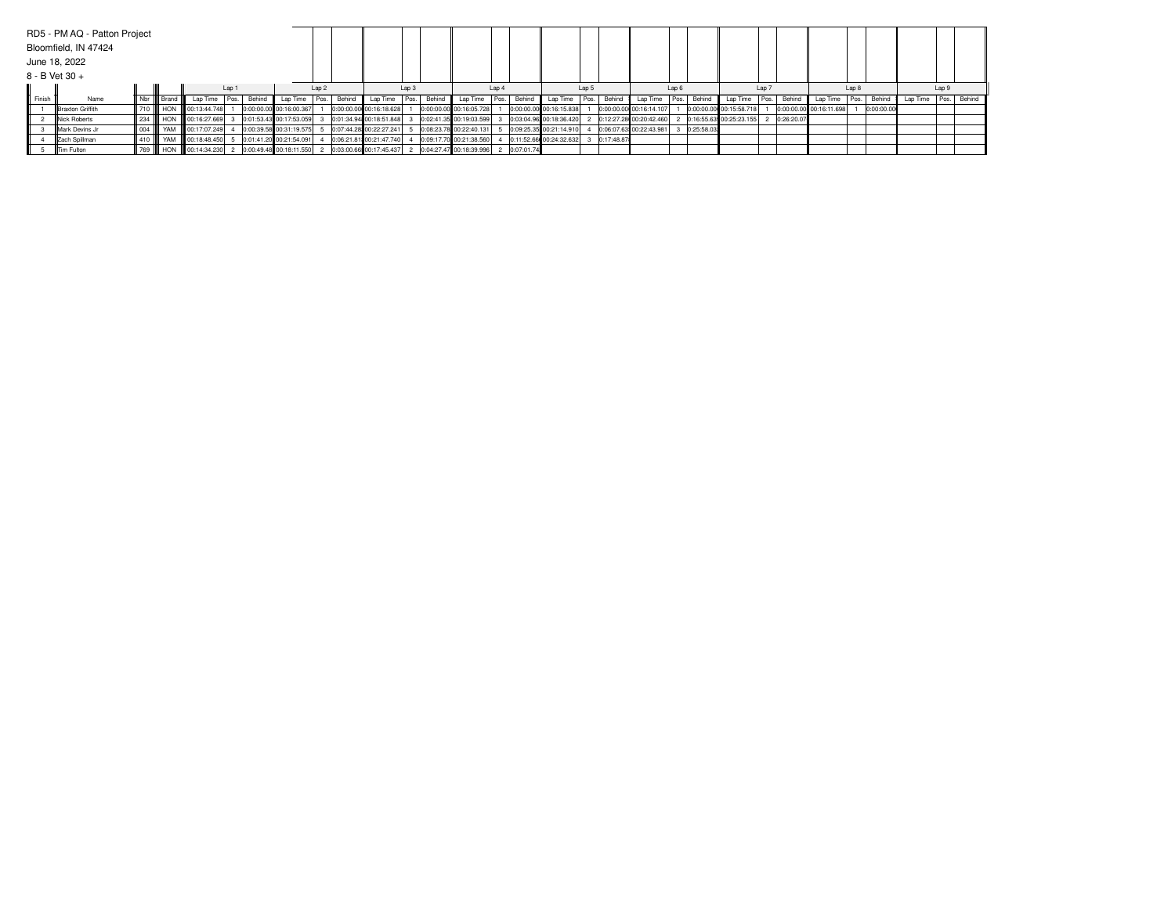|        | RD5 - PM AQ - Patton Project<br>Bloomfield, IN 47424<br>June 18, 2022 |         |                  |                               |                            |       |                           |          |                  |                |                         |       |        |                           |       |              |                         |       |            |                         |       |            |                             |       |            |                         |       |            |                          |       |  |
|--------|-----------------------------------------------------------------------|---------|------------------|-------------------------------|----------------------------|-------|---------------------------|----------|------------------|----------------|-------------------------|-------|--------|---------------------------|-------|--------------|-------------------------|-------|------------|-------------------------|-------|------------|-----------------------------|-------|------------|-------------------------|-------|------------|--------------------------|-------|--|
|        | 8 - B Vet 30 +                                                        |         |                  |                               |                            |       |                           |          |                  |                |                         |       |        |                           |       |              |                         |       |            |                         |       |            |                             |       |            |                         |       |            |                          |       |  |
|        |                                                                       |         |                  |                               |                            | Lap 1 |                           |          | Lap <sub>2</sub> |                |                         | Lap 3 |        |                           | Lap 4 |              |                         | Lap 5 |            |                         | Lap 6 |            |                             | Lap 7 |            |                         | Lap 8 |            |                          | Lap 9 |  |
| Finish | Name                                                                  |         | Nbr III Brand II |                               | Lap Time Pos. Behind       |       |                           | Lap Time |                  | Behind<br>Pos. | Lap Time Pos.           |       | Behind | Lap Time Pos. Behind      |       |              | Lap Time Pos.           |       | Behind     | Lap Time Pos.           |       |            | Behind Lap Time Pos. Behind |       |            | Lap Time                | Pos.  | Behind     | Lap Time   Pos.   Behind |       |  |
|        | <b>IBraxton Griffith</b>                                              |         |                  | 710      HON     00:13:44.748 |                            |       | 0:00:00.00 00:16:00.367   |          |                  |                | 0:00:00.00 00:16:18.628 |       |        | 0:00:00.00 00:16:05.728   |       |              | 0:00:00.00 00:16:15.838 |       |            | 0:00:00.00 00:16:14.107 |       |            | 0:00:00.00 00:15:58.718     |       |            | 0:00:00.00 00:16:11.698 |       | 0:00:00.00 |                          |       |  |
|        | <b>Nick Roberts</b>                                                   |         |                  |                               | 234    HON    00:16:27.669 |       | 0:01:53.43 00:17:53.059   |          |                  |                | 0:01:34.94 00:18:51.848 |       |        | 0:02:41.35 00:19:03.599   |       |              | 0:03:04.96 00:18:36.420 |       |            | 0:12:27.28 00:20:42.460 |       |            | 0:16:55.63 00:25:23.155     |       | 0:26:20.07 |                         |       |            |                          |       |  |
|        | <b>IMark Devins Jr</b>                                                | 004     |                  |                               | YAM 100:17:07.249          |       | 0:00:39.58 00:31:19.575   |          |                  |                | 0:07:44.28 00:22:27.241 |       |        | 0:08:23.78 00:22:40.131   |       |              | 0:09:25.35 00:21:14.910 |       |            | 0:06:07.63 00:22:43.981 |       | 0:25:58.03 |                             |       |            |                         |       |            |                          |       |  |
|        | Zach Spillman                                                         | 410 III |                  |                               | YAM 00:18:48.450           |       | $0.01:41.20$ 00:21:54.091 |          |                  |                | 0:06:21.81 00:21:47.740 |       |        | 0:09:17.70 00:21:38.560   |       |              | 0:11:52.66 00:24:32.632 |       | 0:17:48.87 |                         |       |            |                             |       |            |                         |       |            |                          |       |  |
|        | <b>ITim Fulton</b>                                                    |         |                  |                               | 769    HON    00:14:34.230 |       | 2 0:00:49.48 00:18:11.550 |          |                  |                | 0:03:00.66 00:17:45.437 |       |        | 2 0:04:27.47 00:18:39.996 |       | 2 0:07:01.74 |                         |       |            |                         |       |            |                             |       |            |                         |       |            |                          |       |  |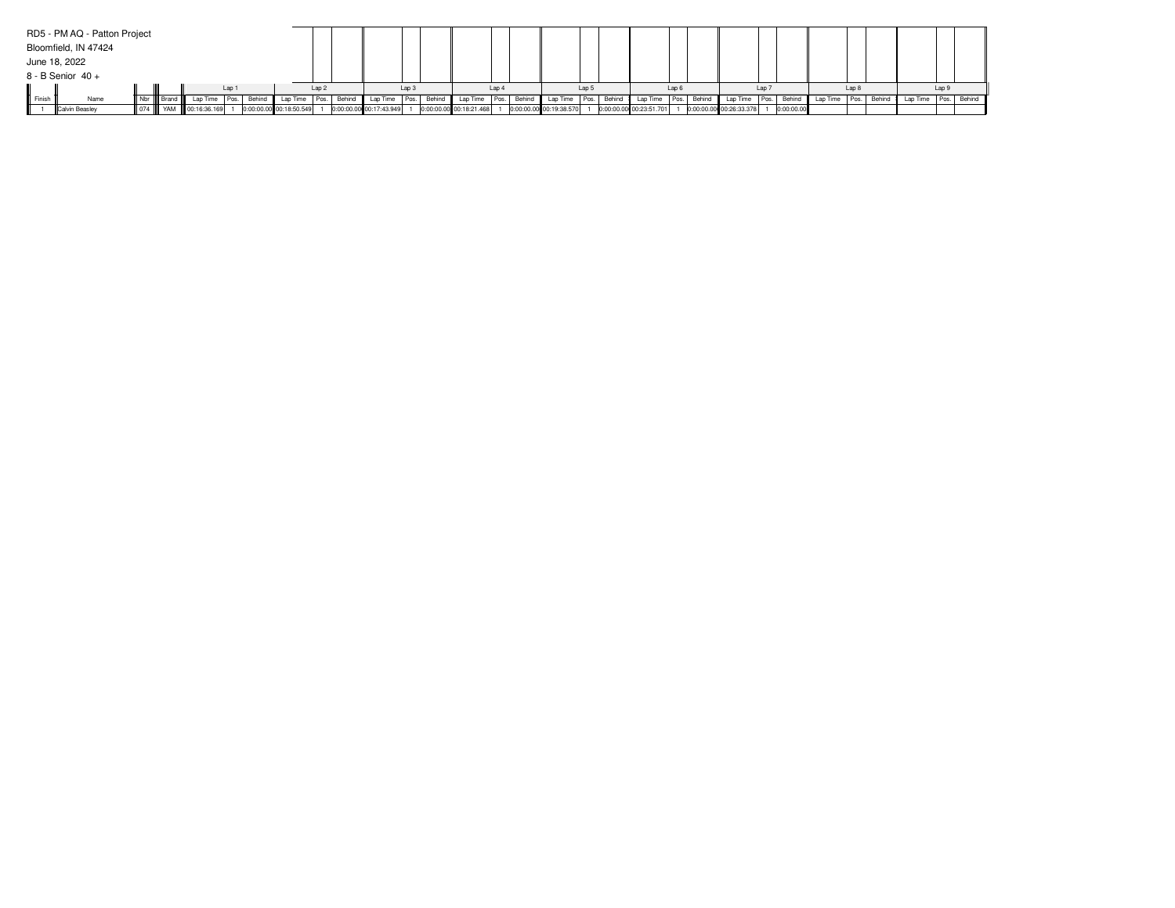|        | RD5 - PM AQ - Patton Project |             |                              |       |             |                         |                  |        |                         |                  |        |                         |       |                         |       |        |                         |                  |                          |       |            |          |       |        |                          |       |  |
|--------|------------------------------|-------------|------------------------------|-------|-------------|-------------------------|------------------|--------|-------------------------|------------------|--------|-------------------------|-------|-------------------------|-------|--------|-------------------------|------------------|--------------------------|-------|------------|----------|-------|--------|--------------------------|-------|--|
|        | Bloomfield, IN 47424         |             |                              |       |             |                         |                  |        |                         |                  |        |                         |       |                         |       |        |                         |                  |                          |       |            |          |       |        |                          |       |  |
|        | June 18, 2022                |             |                              |       |             |                         |                  |        |                         |                  |        |                         |       |                         |       |        |                         |                  |                          |       |            |          |       |        |                          |       |  |
|        | $8 - B$ Senior $40 +$        |             |                              |       |             |                         |                  |        |                         |                  |        |                         |       |                         |       |        |                         |                  |                          |       |            |          |       |        |                          |       |  |
|        |                              |             |                              | Lap 1 |             |                         | Lap <sub>2</sub> |        |                         | Lap <sub>3</sub> |        |                         | Lap 4 |                         | Lap 5 |        |                         | Lap <sub>6</sub> |                          | Lap 7 |            |          | Lap 8 |        |                          | Lap 9 |  |
| Finish | Name                         | Nbr   Brand | Lap Time                     |       | Pos. Behind | Lap Time                | Pos.             | Behind | Lap Time Pos.           |                  | Behind | Lap Time Pos. Behind    |       | Lap Time                | Pos.  | Behind | Lap Time   Pos. Behind  |                  | Lap Time   Pos.   Behind |       |            | Lap Time | Pos.  | Behind | Lap Time   Pos.   Behind |       |  |
|        | <b>ICalvin Beasley</b>       |             | 074     YAM     00:16:36.169 |       |             | 0:00:00.00 00:18:50.549 |                  |        | 0:00:00.00 00:17:43.949 |                  |        | 0:00:00.00 00:18:21.468 |       | 0:00:00.00 00:19:38.570 |       |        | 0:00:00.00 00:23:51.701 |                  | 0:00:00.00 00:26:33.378  |       | 0:00:00.00 |          |       |        |                          |       |  |